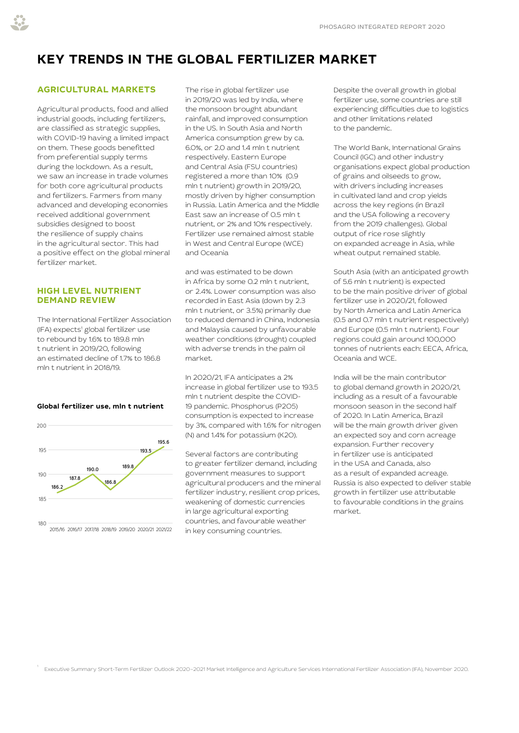

# **AGRICULTURAL MARKETS**

Agricultural products, food and allied industrial goods, including fertilizers, are classified as strategic supplies, with COVID-19 having a limited impact on them. These goods benefitted from preferential supply terms during the lockdown. As a result, we saw an increase in trade volumes for both core agricultural products and fertilizers. Farmers from many advanced and developing economies received additional government subsidies designed to boost the resilience of supply chains in the agricultural sector. This had a positive effect on the global mineral fertilizer market.

# **HIGH LEVEL NUTRIENT DEMAND REVIEW**

The International Fertilizer Association (IFA) expects' global fertilizer use to rebound by 1.6% to 189.8 mln t nutrient in 2019/20, following an estimated decline of 1.7% to 186.8 mln t nutrient in 2018/19.

#### **Global fertilizer use, mln t nutrient**



The rise in global fertilizer use in 2019/20 was led by India, where the monsoon brought abundant rainfall, and improved consumption in the US. In South Asia and North America consumption grew by ca. 6.0%, or 2.0 and 1.4 mln t nutrient respectively. Eastern Europe and Central Asia (FSU countries) registered a more than 10% (0.9 mln t nutrient) growth in 2019/20, mostly driven by higher consumption in Russia. Latin America and the Middle East saw an increase of 0.5 mln t nutrient, or 2% and 10% respectively. Fertilizer use remained almost stable in West and Central Europe (WCE) and Oceania

and was estimated to be down in Africa by some 0.2 mln t nutrient, or 2.4%. Lower consumption was also recorded in East Asia (down by 2.3 mln t nutrient, or 3.5%) primarily due to reduced demand in China, Indonesia and Malaysia caused by unfavourable weather conditions (drought) coupled with adverse trends in the palm oil market.

In 2020/21, IFA anticipates a 2% increase in global fertilizer use to 193.5 mln t nutrient despite the COVID-19 pandemic. Phosphorus (P2O5) consumption is expected to increase by 3%, compared with 1.6% for nitrogen (N) and 1.4% for potassium (K2O).

Several factors are contributing to greater fertilizer demand, including government measures to support agricultural producers and the mineral fertilizer industry, resilient crop prices, weakening of domestic currencies in large agricultural exporting countries, and favourable weather in key consuming countries.

Despite the overall growth in global fertilizer use, some countries are still experiencing difficulties due to logistics and other limitations related to the pandemic.

The World Bank, International Grains Council (IGC) and other industry organisations expect global production of grains and oilseeds to grow, with drivers including increases in cultivated land and crop yields across the key regions (in Brazil and the USA following a recovery from the 2019 challenges). Global output of rice rose slightly on expanded acreage in Asia, while wheat output remained stable.

South Asia (with an anticipated growth of 5.6 mln t nutrient) is expected to be the main positive driver of global fertilizer use in 2020/21, followed by North America and Latin America (0.5 and 0.7 mln t nutrient respectively) and Europe (0.5 mln t nutrient). Four regions could gain around 100,000 tonnes of nutrients each: EECA, Africa, Oceania and WCE.

India will be the main contributor to global demand growth in 2020/21, including as a result of a favourable monsoon season in the second half of 2020. In Latin America, Brazil will be the main growth driver given an expected soy and corn acreage expansion. Further recovery in fertilizer use is anticipated in the USA and Canada, also as a result of expanded acreage. Russia is also expected to deliver stable growth in fertilizer use attributable to favourable conditions in the grains market.

Executive Summary Short-Term Fertilizer Outlook 2020–2021 Market Intelligence and Agriculture Services International Fertilizer Association (IFA), November 2020.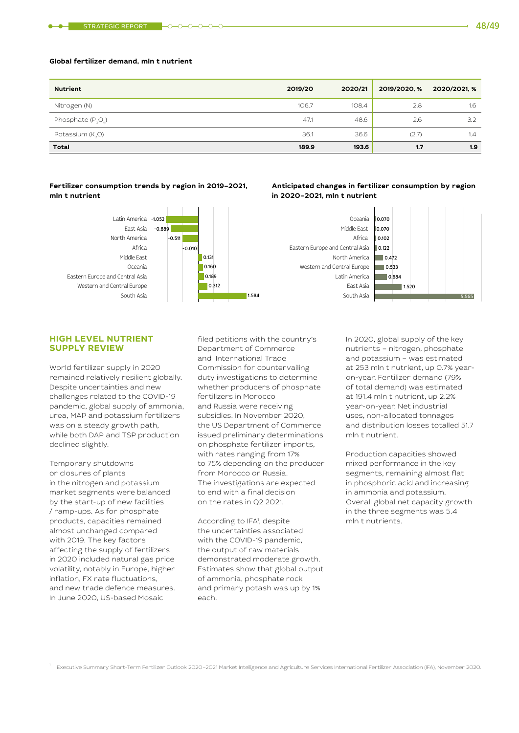#### **Global fertilizer demand, mln t nutrient**

| <b>Nutrient</b>              | 2019/20 | 2020/21 | 2019/2020, % | 2020/2021, % |
|------------------------------|---------|---------|--------------|--------------|
| Nitrogen (N)                 | 106.7   | 108.4   | 2.8          | 1.6          |
| Phosphate $(P_2O_6)$         | 47.1    | 48.6    | 2.6          | 3.2          |
| Potassium (K <sub>2</sub> O) | 36.1    | 36.6    | (2.7)        | 1.4          |
| <b>Total</b>                 | 189.9   | 193.6   | 1.7          | 1.9          |

## **Fertilizer consumption trends by region in 2019–2021, mln t nutrient**





#### $\mathsf{a}$  or  $\mathsf{a}$ 0.102 0.070 Oceania Middle East Africa Eastern Europe and Central Asia North America Western and Central Europe Latin America East Asia South Asia  $0.122$  $0.472$  $0.533$  $0.684$ 1.520 5.565

# **HIGH LEVEL NUTRIENT SUPPLY REVIEW**

World fertilizer supply in 2020 remained relatively resilient globally. Despite uncertainties and new challenges related to the COVID-19 pandemic, global supply of ammonia, urea, MAP and potassium fertilizers was on a steady growth path, while both DAP and TSP production declined slightly.

Temporary shutdowns or closures of plants in the nitrogen and potassium market segments were balanced by the start-up of new facilities / ramp-ups. As for phosphate products, capacities remained almost unchanged compared with 2019. The key factors affecting the supply of fertilizers in 2020 included natural gas price volatility, notably in Europe, higher inflation, FX rate fluctuations, and new trade defence measures. In June 2020, US-based Mosaic

filed petitions with the country's Department of Commerce and International Trade Commission for countervailing duty investigations to determine whether producers of phosphate fertilizers in Morocco and Russia were receiving subsidies. In November 2020, the US Department of Commerce issued preliminary determinations on phosphate fertilizer imports, with rates ranging from 17% to 75% depending on the producer from Morocco or Russia. The investigations are expected to end with a final decision on the rates in Q2 2021.

According to IFA<sup>1</sup>, despite the uncertainties associated with the COVID-19 pandemic, the output of raw materials demonstrated moderate growth. Estimates show that global output of ammonia, phosphate rock and primary potash was up by 1% each.

In 2020, global supply of the key nutrients – nitrogen, phosphate and potassium – was estimated at 253 mln t nutrient, up 0.7% yearon-year. Fertilizer demand (79% of total demand) was estimated at 191.4 mln t nutrient, up 2.2% year-on-year. Net industrial uses, non-allocated tonnages and distribution losses totalled 51.7 mln t nutrient.

Production capacities showed mixed performance in the key segments, remaining almost flat in phosphoric acid and increasing in ammonia and potassium. Overall global net capacity growth in the three segments was 5.4 mln t nutrients.

1 Executive Summary Short-Term Fertilizer Outlook 2020–2021 Market Intelligence and Agriculture Services International Fertilizer Association (IFA), November 2020.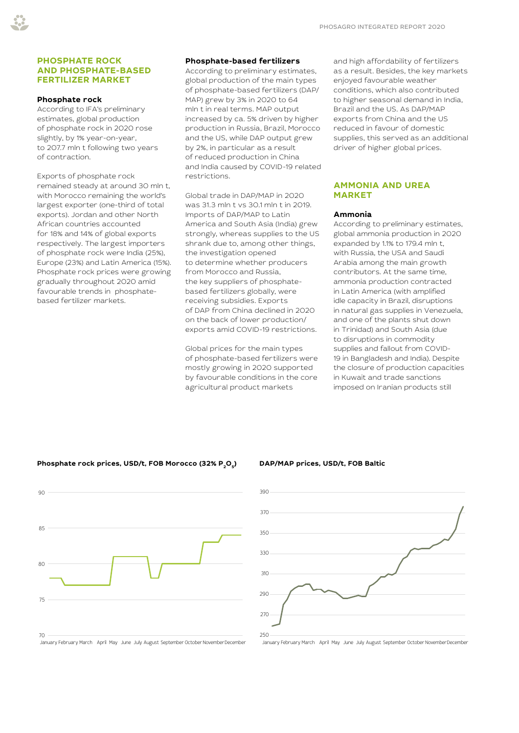# **PHOSPHATE ROCK AND PHOSPHATE-BASED FERTILIZER MARKET**

#### **Phosphate rock**

According to IFA's preliminary estimates, global production of phosphate rock in 2020 rose slightly, by 1% year-on-year, to 207.7 mln t following two years of contraction.

Exports of phosphate rock remained steady at around 30 mln t, with Morocco remaining the world's largest exporter (one-third of total exports). Jordan and other North African countries accounted for 18% and 14% of global exports respectively. The largest importers of phosphate rock were India (25%), Europe (23%) and Latin America (15%). Phosphate rock prices were growing gradually throughout 2020 amid favourable trends in phosphatebased fertilizer markets.

## **Phosphate-based fertilizers**

According to preliminary estimates, global production of the main types of phosphate-based fertilizers (DAP/ MAP) grew by 3% in 2020 to 64 mln t in real terms. MAP output increased by ca. 5% driven by higher production in Russia, Brazil, Morocco and the US, while DAP output grew by 2%, in particular as a result of reduced production in China and India caused by COVID-19 related restrictions.

Global trade in DAP/MAP in 2020 was 31.3 mln t vs 30.1 mln t in 2019. Imports of DAP/MAP to Latin America and South Asia (India) grew strongly, whereas supplies to the US shrank due to, among other things, the investigation opened to determine whether producers from Morocco and Russia, the key suppliers of phosphatebased fertilizers globally, were receiving subsidies. Exports of DAP from China declined in 2020 on the back of lower production/ exports amid COVID-19 restrictions.

Global prices for the main types of phosphate-based fertilizers were mostly growing in 2020 supported by favourable conditions in the core agricultural product markets

and high affordability of fertilizers as a result. Besides, the key markets enjoyed favourable weather conditions, which also contributed to higher seasonal demand in India, Brazil and the US. As DAP/MAP exports from China and the US reduced in favour of domestic supplies, this served as an additional driver of higher global prices.

# **AMMONIA AND UREA MARKET**

#### **Ammonia**

According to preliminary estimates, global ammonia production in 2020 expanded by 1.1% to 179.4 mln t, with Russia, the USA and Saudi Arabia among the main growth contributors. At the same time, ammonia production contracted in Latin America (with amplified idle capacity in Brazil, disruptions in natural gas supplies in Venezuela, and one of the plants shut down in Trinidad) and South Asia (due to disruptions in commodity supplies and fallout from COVID-19 in Bangladesh and India). Despite the closure of production capacities in Kuwait and trade sanctions imposed on Iranian products still



#### Phosphate rock prices, USD/t, FOB Morocco (32% P<sub>2</sub>O<sub>5</sub>) DAP/MAP prices, USD/t, FOB Baltic



January February March April May June July August September October November December

January February March April May June July August September October November December